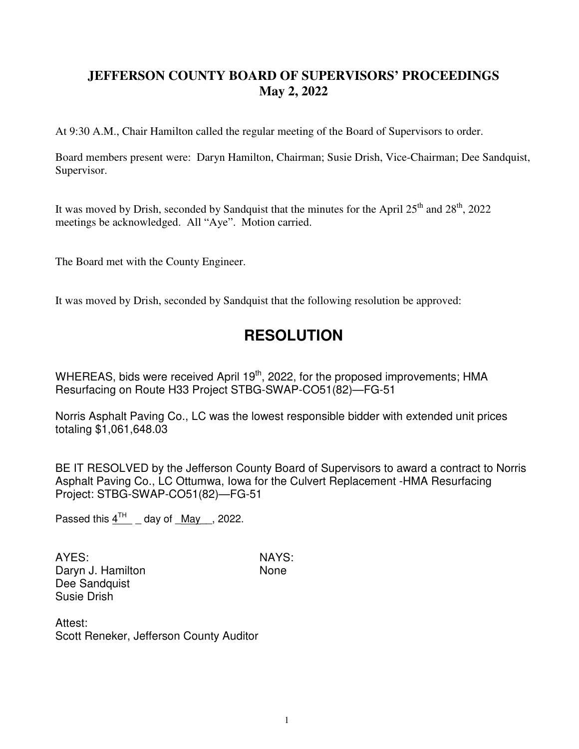## **JEFFERSON COUNTY BOARD OF SUPERVISORS' PROCEEDINGS May 2, 2022**

At 9:30 A.M., Chair Hamilton called the regular meeting of the Board of Supervisors to order.

Board members present were: Daryn Hamilton, Chairman; Susie Drish, Vice-Chairman; Dee Sandquist, Supervisor.

It was moved by Drish, seconded by Sandquist that the minutes for the April  $25<sup>th</sup>$  and  $28<sup>th</sup>$ , 2022 meetings be acknowledged. All "Aye". Motion carried.

The Board met with the County Engineer.

It was moved by Drish, seconded by Sandquist that the following resolution be approved:

## **RESOLUTION**

WHEREAS, bids were received April  $19<sup>th</sup>$ , 2022, for the proposed improvements; HMA Resurfacing on Route H33 Project STBG-SWAP-CO51(82)—FG-51

Norris Asphalt Paving Co., LC was the lowest responsible bidder with extended unit prices totaling \$1,061,648.03

BE IT RESOLVED by the Jefferson County Board of Supervisors to award a contract to Norris Asphalt Paving Co., LC Ottumwa, Iowa for the Culvert Replacement -HMA Resurfacing Project: STBG-SWAP-CO51(82)—FG-51

Passed this  $4^{TH}$  \_ day of \_May \_, 2022.

AYES: NAYS: Daryn J. Hamilton None Dee Sandquist Susie Drish

Attest: Scott Reneker, Jefferson County Auditor